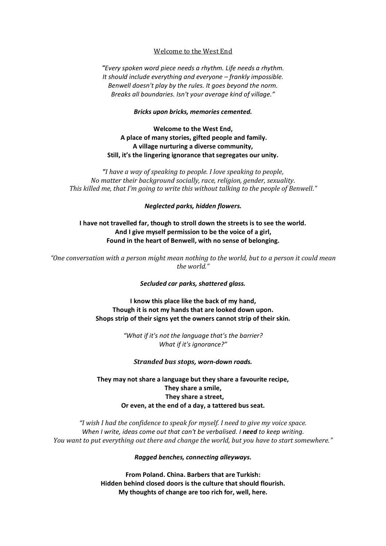## Welcome to the West End

*"Every spoken word piece needs a rhythm. Life needs a rhythm. It should include everything and everyone – frankly impossible. Benwell doesn't play by the rules. It goes beyond the norm. Breaks all boundaries. Isn't your average kind of village."*

#### *Bricks upon bricks, memories cemented.*

**Welcome to the West End, A place of many stories, gifted people and family. A village nurturing a diverse community, Still, it's the lingering ignorance that segregates our unity.**

*"I have a way of speaking to people. I love speaking to people, No matter their background socially, race, religion, gender, sexuality. This killed me, that I'm going to write this without talking to the people of Benwell."*

### *Neglected parks, hidden flowers.*

## **I have not travelled far, though to stroll down the streets is to see the world. And I give myself permission to be the voice of a girl, Found in the heart of Benwell, with no sense of belonging.**

*"One conversation with a person might mean nothing to the world, but to a person it could mean the world."*

### *Secluded car parks, shattered glass.*

**I know this place like the back of my hand, Though it is not my hands that are looked down upon. Shops strip of their signs yet the owners cannot strip of their skin.**

> *"What if it's not the language that's the barrier? What if it's ignorance?"*

*Stranded bus stops, worn-down roads.*

# **They may not share a language but they share a favourite recipe, They share a smile, They share a street, Or even, at the end of a day, a tattered bus seat.**

*"I wish I had the confidence to speak for myself. I need to give my voice space. When I write, ideas come out that can't be verbalised. I need to keep writing. You want to put everything out there and change the world, but you have to start somewhere."*

*Ragged benches, connecting alleyways.*

**From Poland. China. Barbers that are Turkish: Hidden behind closed doors is the culture that should flourish. My thoughts of change are too rich for, well, here.**